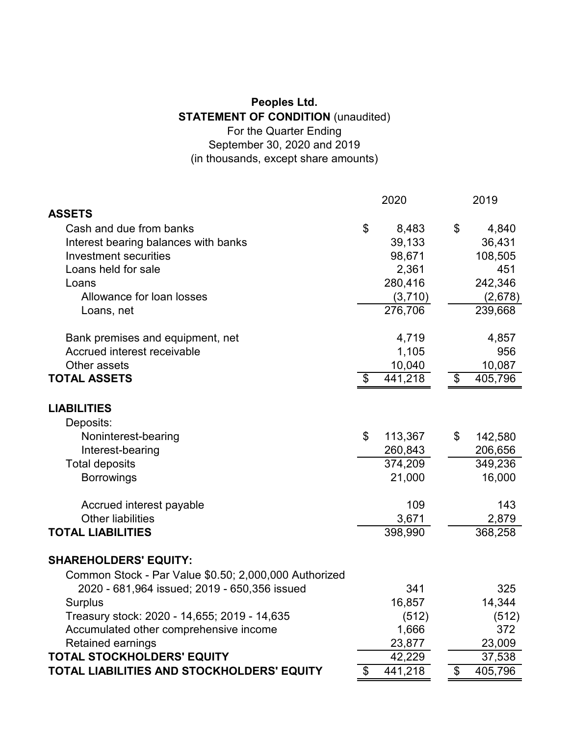## **Peoples Ltd. STATEMENT OF CONDITION** (unaudited) For the Quarter Ending September 30, 2020 and 2019 (in thousands, except share amounts)

|                                                       | 2020 |         |                            | 2019    |
|-------------------------------------------------------|------|---------|----------------------------|---------|
| <b>ASSETS</b>                                         |      |         |                            |         |
| Cash and due from banks                               | \$   | 8,483   | \$                         | 4,840   |
| Interest bearing balances with banks                  |      | 39,133  |                            | 36,431  |
| Investment securities                                 |      | 98,671  |                            | 108,505 |
| Loans held for sale                                   |      | 2,361   |                            | 451     |
| Loans                                                 |      | 280,416 |                            | 242,346 |
| Allowance for loan losses                             |      | (3,710) |                            | (2,678) |
| Loans, net                                            |      | 276,706 |                            | 239,668 |
| Bank premises and equipment, net                      |      | 4,719   |                            | 4,857   |
| Accrued interest receivable                           |      | 1,105   |                            | 956     |
| Other assets                                          |      | 10,040  |                            | 10,087  |
| <b>TOTAL ASSETS</b>                                   | \$   | 441,218 | \$                         | 405,796 |
| <b>LIABILITIES</b>                                    |      |         |                            |         |
| Deposits:                                             |      |         |                            |         |
| Noninterest-bearing                                   | \$   | 113,367 | \$                         | 142,580 |
| Interest-bearing                                      |      | 260,843 |                            | 206,656 |
| <b>Total deposits</b>                                 |      | 374,209 |                            | 349,236 |
| <b>Borrowings</b>                                     |      | 21,000  |                            | 16,000  |
| Accrued interest payable                              |      | 109     |                            | 143     |
| <b>Other liabilities</b>                              |      | 3,671   |                            | 2,879   |
| <b>TOTAL LIABILITIES</b>                              |      | 398,990 |                            | 368,258 |
| <b>SHAREHOLDERS' EQUITY:</b>                          |      |         |                            |         |
| Common Stock - Par Value \$0.50; 2,000,000 Authorized |      |         |                            |         |
| 2020 - 681,964 issued; 2019 - 650,356 issued          |      | 341     |                            | 325     |
| <b>Surplus</b>                                        |      | 16,857  |                            | 14,344  |
| Treasury stock: 2020 - 14,655; 2019 - 14,635          |      | (512)   |                            | (512)   |
| Accumulated other comprehensive income                |      | 1,666   |                            | 372     |
| <b>Retained earnings</b>                              |      | 23,877  |                            | 23,009  |
| <b>TOTAL STOCKHOLDERS' EQUITY</b>                     |      | 42,229  |                            | 37,538  |
| TOTAL LIABILITIES AND STOCKHOLDERS' EQUITY            | \$   | 441,218 | $\boldsymbol{\mathsf{\$}}$ | 405,796 |